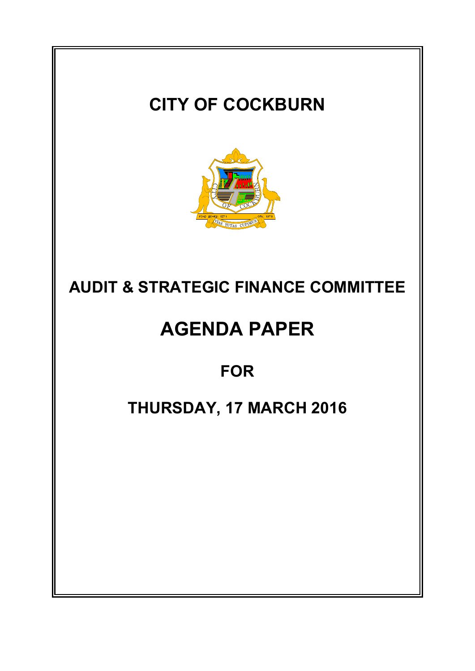# **CITY OF COCKBURN AUDIT & STRATEGIC FINANCE COMMITTEE AGENDA PAPER FOR THURSDAY, 17 MARCH 2016**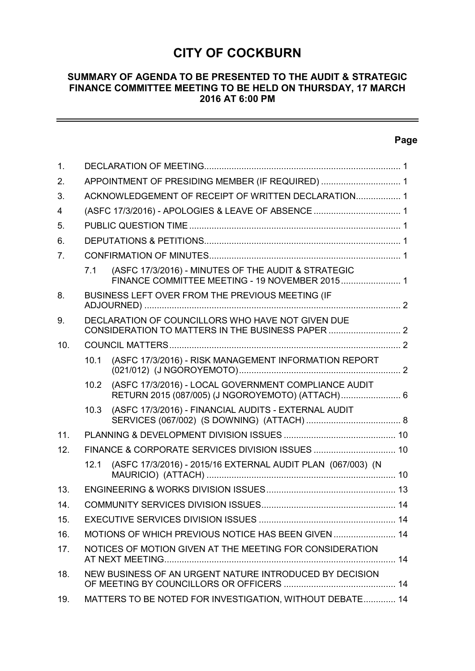# **CITY OF COCKBURN**

# **SUMMARY OF AGENDA TO BE PRESENTED TO THE AUDIT & STRATEGIC FINANCE COMMITTEE MEETING TO BE HELD ON THURSDAY, 17 MARCH 2016 AT 6:00 PM**

# **Page**

| $\mathbf{1}$ . |                                                     |                                                                                                          |  |  |
|----------------|-----------------------------------------------------|----------------------------------------------------------------------------------------------------------|--|--|
| 2.             |                                                     | APPOINTMENT OF PRESIDING MEMBER (IF REQUIRED)  1                                                         |  |  |
| 3.             |                                                     | ACKNOWLEDGEMENT OF RECEIPT OF WRITTEN DECLARATION 1                                                      |  |  |
| 4              |                                                     | (ASFC 17/3/2016) - APOLOGIES & LEAVE OF ABSENCE  1                                                       |  |  |
| 5.             |                                                     |                                                                                                          |  |  |
| 6.             |                                                     |                                                                                                          |  |  |
| 7 <sub>1</sub> |                                                     |                                                                                                          |  |  |
|                | 7.1                                                 | (ASFC 17/3/2016) - MINUTES OF THE AUDIT & STRATEGIC<br>FINANCE COMMITTEE MEETING - 19 NOVEMBER 2015 1    |  |  |
| 8.             |                                                     | BUSINESS LEFT OVER FROM THE PREVIOUS MEETING (IF                                                         |  |  |
| 9.             |                                                     | DECLARATION OF COUNCILLORS WHO HAVE NOT GIVEN DUE                                                        |  |  |
| 10.            |                                                     |                                                                                                          |  |  |
|                | 10.1                                                | (ASFC 17/3/2016) - RISK MANAGEMENT INFORMATION REPORT                                                    |  |  |
|                | 10.2                                                | (ASFC 17/3/2016) - LOCAL GOVERNMENT COMPLIANCE AUDIT<br>RETURN 2015 (087/005) (J NGOROYEMOTO) (ATTACH) 6 |  |  |
|                | 10.3                                                | (ASFC 17/3/2016) - FINANCIAL AUDITS - EXTERNAL AUDIT                                                     |  |  |
| 11.            |                                                     |                                                                                                          |  |  |
| 12.            |                                                     |                                                                                                          |  |  |
|                | 12.1                                                | (ASFC 17/3/2016) - 2015/16 EXTERNAL AUDIT PLAN (067/003) (N                                              |  |  |
| 13.            |                                                     |                                                                                                          |  |  |
| 14.            |                                                     |                                                                                                          |  |  |
| 15.            |                                                     |                                                                                                          |  |  |
| 16.            | MOTIONS OF WHICH PREVIOUS NOTICE HAS BEEN GIVEN  14 |                                                                                                          |  |  |
| 17.            |                                                     | NOTICES OF MOTION GIVEN AT THE MEETING FOR CONSIDERATION                                                 |  |  |
| 18.            |                                                     | NEW BUSINESS OF AN URGENT NATURE INTRODUCED BY DECISION                                                  |  |  |
| 19.            |                                                     | MATTERS TO BE NOTED FOR INVESTIGATION, WITHOUT DEBATE 14                                                 |  |  |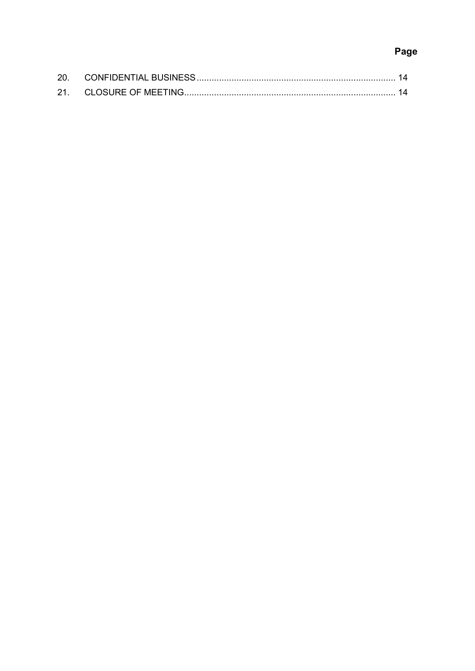# Page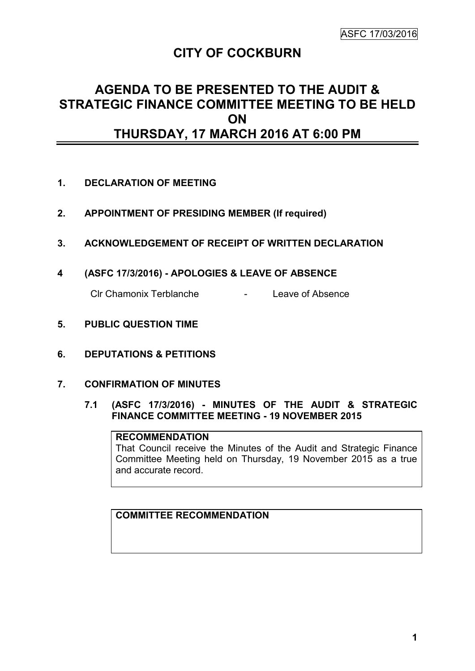# **CITY OF COCKBURN**

# **AGENDA TO BE PRESENTED TO THE AUDIT & STRATEGIC FINANCE COMMITTEE MEETING TO BE HELD ON THURSDAY, 17 MARCH 2016 AT 6:00 PM**

- **1. DECLARATION OF MEETING**
- **2. APPOINTMENT OF PRESIDING MEMBER (If required)**
- **3. ACKNOWLEDGEMENT OF RECEIPT OF WRITTEN DECLARATION**
- **4 (ASFC 17/3/2016) - APOLOGIES & LEAVE OF ABSENCE**

Clr Chamonix Terblanche - Leave of Absence

- **5. PUBLIC QUESTION TIME**
- **6. DEPUTATIONS & PETITIONS**
- **7. CONFIRMATION OF MINUTES**
	- **7.1 (ASFC 17/3/2016) - MINUTES OF THE AUDIT & STRATEGIC FINANCE COMMITTEE MEETING - 19 NOVEMBER 2015**

# **RECOMMENDATION**

That Council receive the Minutes of the Audit and Strategic Finance Committee Meeting held on Thursday, 19 November 2015 as a true and accurate record.

# **COMMITTEE RECOMMENDATION**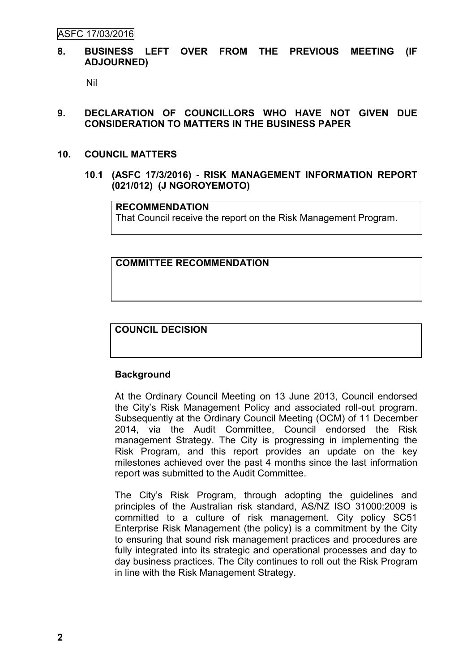ASFC 17/03/2016

#### **8. BUSINESS LEFT OVER FROM THE PREVIOUS MEETING (IF ADJOURNED)**

Nil

# **9. DECLARATION OF COUNCILLORS WHO HAVE NOT GIVEN DUE CONSIDERATION TO MATTERS IN THE BUSINESS PAPER**

#### **10. COUNCIL MATTERS**

**10.1 (ASFC 17/3/2016) - RISK MANAGEMENT INFORMATION REPORT (021/012) (J NGOROYEMOTO)**

**RECOMMENDATION**

That Council receive the report on the Risk Management Program.

#### **COMMITTEE RECOMMENDATION**

# **COUNCIL DECISION**

# **Background**

At the Ordinary Council Meeting on 13 June 2013, Council endorsed the City's Risk Management Policy and associated roll-out program. Subsequently at the Ordinary Council Meeting (OCM) of 11 December 2014, via the Audit Committee, Council endorsed the Risk management Strategy. The City is progressing in implementing the Risk Program, and this report provides an update on the key milestones achieved over the past 4 months since the last information report was submitted to the Audit Committee.

The City's Risk Program, through adopting the guidelines and principles of the Australian risk standard, AS/NZ ISO 31000:2009 is committed to a culture of risk management. City policy SC51 Enterprise Risk Management (the policy) is a commitment by the City to ensuring that sound risk management practices and procedures are fully integrated into its strategic and operational processes and day to day business practices. The City continues to roll out the Risk Program in line with the Risk Management Strategy.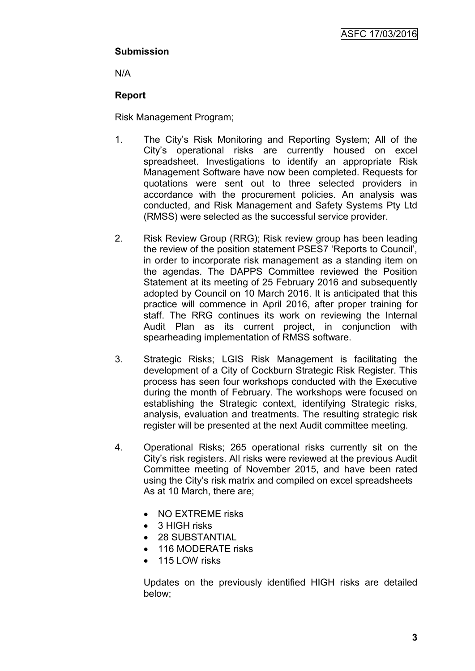# **Submission**

N/A

# **Report**

Risk Management Program;

- 1. The City's Risk Monitoring and Reporting System; All of the City's operational risks are currently housed on excel spreadsheet. Investigations to identify an appropriate Risk Management Software have now been completed. Requests for quotations were sent out to three selected providers in accordance with the procurement policies. An analysis was conducted, and Risk Management and Safety Systems Pty Ltd (RMSS) were selected as the successful service provider.
- 2. Risk Review Group (RRG); Risk review group has been leading the review of the position statement PSES7 'Reports to Council', in order to incorporate risk management as a standing item on the agendas. The DAPPS Committee reviewed the Position Statement at its meeting of 25 February 2016 and subsequently adopted by Council on 10 March 2016. It is anticipated that this practice will commence in April 2016, after proper training for staff. The RRG continues its work on reviewing the Internal Audit Plan as its current project, in conjunction with spearheading implementation of RMSS software.
- 3. Strategic Risks; LGIS Risk Management is facilitating the development of a City of Cockburn Strategic Risk Register. This process has seen four workshops conducted with the Executive during the month of February. The workshops were focused on establishing the Strategic context, identifying Strategic risks, analysis, evaluation and treatments. The resulting strategic risk register will be presented at the next Audit committee meeting.
- 4. Operational Risks; 265 operational risks currently sit on the City's risk registers. All risks were reviewed at the previous Audit Committee meeting of November 2015, and have been rated using the City's risk matrix and compiled on excel spreadsheets As at 10 March, there are;
	- NO EXTREME risks
	- 3 HIGH risks
	- 28 SUBSTANTIAL
	- 116 MODERATE risks
	- 115 LOW risks

Updates on the previously identified HIGH risks are detailed below;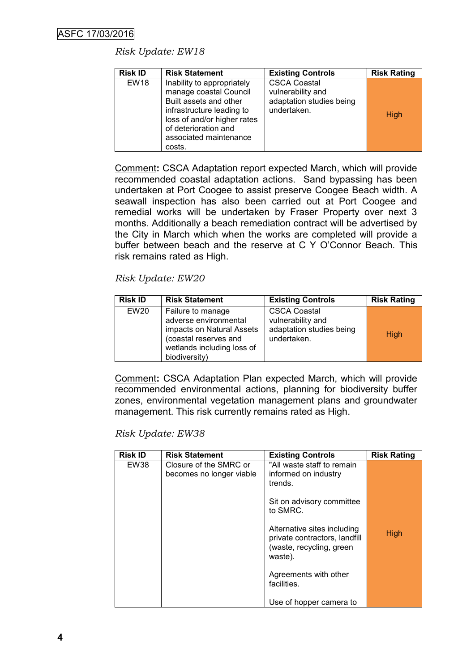# *Risk Update: EW18*

| <b>Risk ID</b> | <b>Risk Statement</b>                                                                                                                                                                                  | <b>Existing Controls</b>                                                            | <b>Risk Rating</b> |
|----------------|--------------------------------------------------------------------------------------------------------------------------------------------------------------------------------------------------------|-------------------------------------------------------------------------------------|--------------------|
| <b>EW18</b>    | Inability to appropriately<br>manage coastal Council<br>Built assets and other<br>infrastructure leading to<br>loss of and/or higher rates<br>of deterioration and<br>associated maintenance<br>costs. | <b>CSCA Coastal</b><br>vulnerability and<br>adaptation studies being<br>undertaken. | High               |

Comment**:** CSCA Adaptation report expected March, which will provide recommended coastal adaptation actions. Sand bypassing has been undertaken at Port Coogee to assist preserve Coogee Beach width. A seawall inspection has also been carried out at Port Coogee and remedial works will be undertaken by Fraser Property over next 3 months. Additionally a beach remediation contract will be advertised by the City in March which when the works are completed will provide a buffer between beach and the reserve at C Y O'Connor Beach. This risk remains rated as High.

# *Risk Update: EW20*

| <b>Risk ID</b>   | <b>Risk Statement</b>                                                                                                                           | <b>Existing Controls</b>                                                            | <b>Risk Rating</b> |
|------------------|-------------------------------------------------------------------------------------------------------------------------------------------------|-------------------------------------------------------------------------------------|--------------------|
| EW <sub>20</sub> | Failure to manage<br>adverse environmental<br>impacts on Natural Assets<br>(coastal reserves and<br>wetlands including loss of<br>biodiversity) | <b>CSCA Coastal</b><br>vulnerability and<br>adaptation studies being<br>undertaken. | High               |

Comment**:** CSCA Adaptation Plan expected March, which will provide recommended environmental actions, planning for biodiversity buffer zones, environmental vegetation management plans and groundwater management. This risk currently remains rated as High.

# *Risk Update: EW38*

| <b>Risk ID</b> | <b>Risk Statement</b>                              | <b>Existing Controls</b>                                                                            | <b>Risk Rating</b> |
|----------------|----------------------------------------------------|-----------------------------------------------------------------------------------------------------|--------------------|
| EW38           | Closure of the SMRC or<br>becomes no longer viable | "All waste staff to remain<br>informed on industry<br>trends.                                       |                    |
|                |                                                    | Sit on advisory committee<br>to SMRC.                                                               |                    |
|                |                                                    | Alternative sites including<br>private contractors, landfill<br>(waste, recycling, green<br>waste). | High               |
|                |                                                    | Agreements with other<br>facilities.                                                                |                    |
|                |                                                    | Use of hopper camera to                                                                             |                    |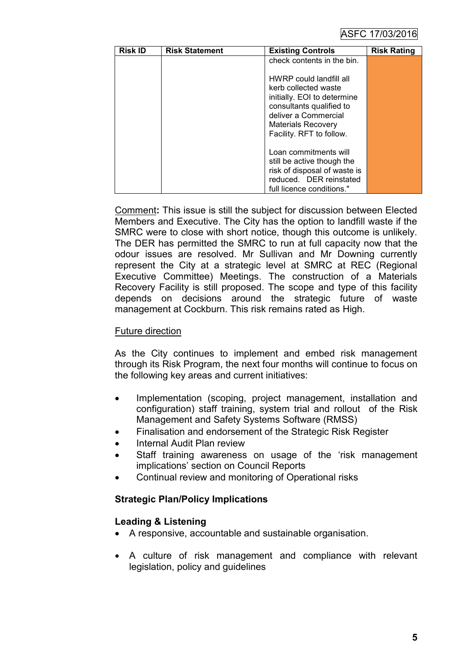# ASFC 17/03/2016

| <b>Risk ID</b> | <b>Risk Statement</b> | <b>Existing Controls</b>                                                                                                                                                                    | <b>Risk Rating</b> |
|----------------|-----------------------|---------------------------------------------------------------------------------------------------------------------------------------------------------------------------------------------|--------------------|
|                |                       | check contents in the bin.                                                                                                                                                                  |                    |
|                |                       | HWRP could landfill all<br>kerb collected waste<br>initially. EOI to determine<br>consultants qualified to<br>deliver a Commercial<br><b>Materials Recovery</b><br>Facility. RFT to follow. |                    |
|                |                       | Loan commitments will<br>still be active though the<br>risk of disposal of waste is<br>reduced. DER reinstated<br>full licence conditions."                                                 |                    |

Comment**:** This issue is still the subject for discussion between Elected Members and Executive. The City has the option to landfill waste if the SMRC were to close with short notice, though this outcome is unlikely. The DER has permitted the SMRC to run at full capacity now that the odour issues are resolved. Mr Sullivan and Mr Downing currently represent the City at a strategic level at SMRC at REC (Regional Executive Committee) Meetings. The construction of a Materials Recovery Facility is still proposed. The scope and type of this facility depends on decisions around the strategic future of waste management at Cockburn. This risk remains rated as High.

# Future direction

As the City continues to implement and embed risk management through its Risk Program, the next four months will continue to focus on the following key areas and current initiatives:

- Implementation (scoping, project management, installation and configuration) staff training, system trial and rollout of the Risk Management and Safety Systems Software (RMSS)
- Finalisation and endorsement of the Strategic Risk Register
- Internal Audit Plan review
- Staff training awareness on usage of the 'risk management implications' section on Council Reports
- Continual review and monitoring of Operational risks

# **Strategic Plan/Policy Implications**

# **Leading & Listening**

- A responsive, accountable and sustainable organisation.
- A culture of risk management and compliance with relevant legislation, policy and guidelines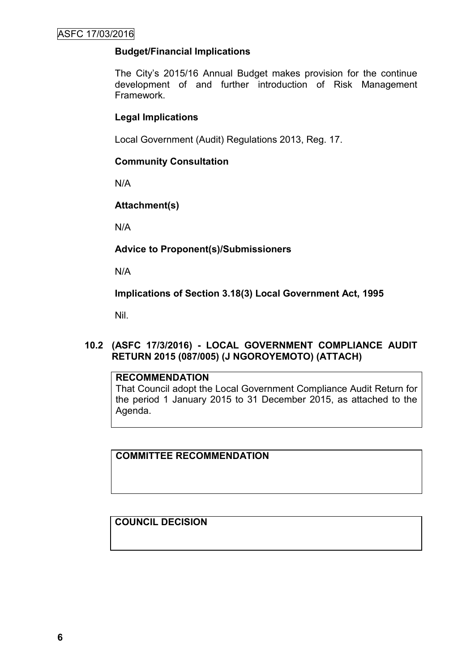# **Budget/Financial Implications**

The City's 2015/16 Annual Budget makes provision for the continue development of and further introduction of Risk Management Framework.

# **Legal Implications**

Local Government (Audit) Regulations 2013, Reg. 17.

# **Community Consultation**

N/A

# **Attachment(s)**

N/A

**Advice to Proponent(s)/Submissioners**

N/A

**Implications of Section 3.18(3) Local Government Act, 1995**

Nil.

# **10.2 (ASFC 17/3/2016) - LOCAL GOVERNMENT COMPLIANCE AUDIT RETURN 2015 (087/005) (J NGOROYEMOTO) (ATTACH)**

# **RECOMMENDATION**

That Council adopt the Local Government Compliance Audit Return for the period 1 January 2015 to 31 December 2015, as attached to the Agenda.

**COMMITTEE RECOMMENDATION**

**COUNCIL DECISION**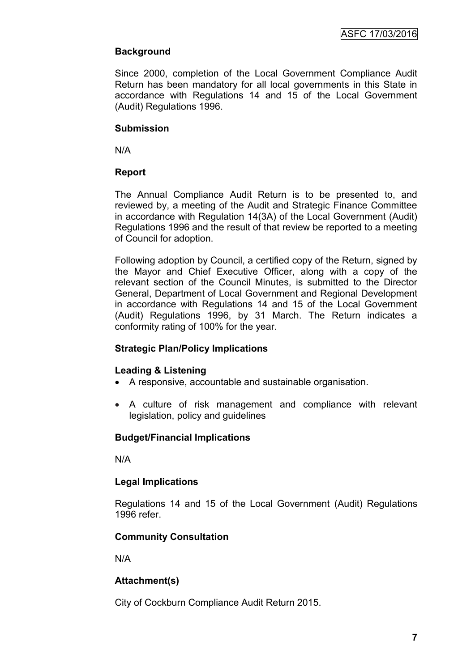# **Background**

Since 2000, completion of the Local Government Compliance Audit Return has been mandatory for all local governments in this State in accordance with Regulations 14 and 15 of the Local Government (Audit) Regulations 1996.

# **Submission**

N/A

# **Report**

The Annual Compliance Audit Return is to be presented to, and reviewed by, a meeting of the Audit and Strategic Finance Committee in accordance with Regulation 14(3A) of the Local Government (Audit) Regulations 1996 and the result of that review be reported to a meeting of Council for adoption.

Following adoption by Council, a certified copy of the Return, signed by the Mayor and Chief Executive Officer, along with a copy of the relevant section of the Council Minutes, is submitted to the Director General, Department of Local Government and Regional Development in accordance with Regulations 14 and 15 of the Local Government (Audit) Regulations 1996, by 31 March. The Return indicates a conformity rating of 100% for the year.

# **Strategic Plan/Policy Implications**

# **Leading & Listening**

- A responsive, accountable and sustainable organisation.
- A culture of risk management and compliance with relevant legislation, policy and guidelines

# **Budget/Financial Implications**

N/A

# **Legal Implications**

Regulations 14 and 15 of the Local Government (Audit) Regulations 1996 refer.

# **Community Consultation**

N/A

# **Attachment(s)**

City of Cockburn Compliance Audit Return 2015.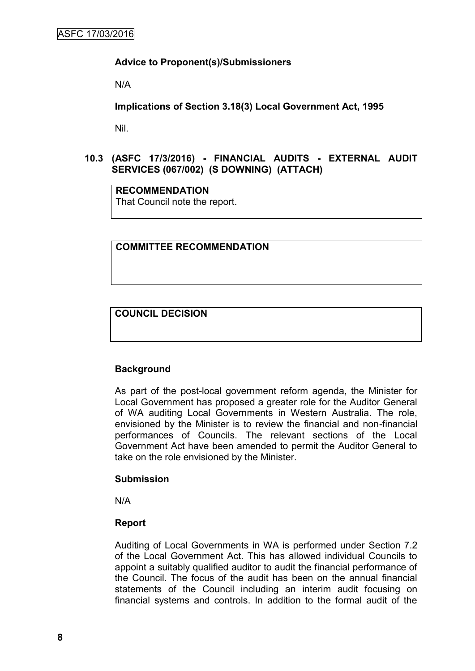#### **Advice to Proponent(s)/Submissioners**

N/A

**Implications of Section 3.18(3) Local Government Act, 1995**

Nil.

# **10.3 (ASFC 17/3/2016) - FINANCIAL AUDITS - EXTERNAL AUDIT SERVICES (067/002) (S DOWNING) (ATTACH)**

**RECOMMENDATION** That Council note the report.

#### **COMMITTEE RECOMMENDATION**

**COUNCIL DECISION**

# **Background**

As part of the post-local government reform agenda, the Minister for Local Government has proposed a greater role for the Auditor General of WA auditing Local Governments in Western Australia. The role, envisioned by the Minister is to review the financial and non-financial performances of Councils. The relevant sections of the Local Government Act have been amended to permit the Auditor General to take on the role envisioned by the Minister.

#### **Submission**

N/A

# **Report**

Auditing of Local Governments in WA is performed under Section 7.2 of the Local Government Act. This has allowed individual Councils to appoint a suitably qualified auditor to audit the financial performance of the Council. The focus of the audit has been on the annual financial statements of the Council including an interim audit focusing on financial systems and controls. In addition to the formal audit of the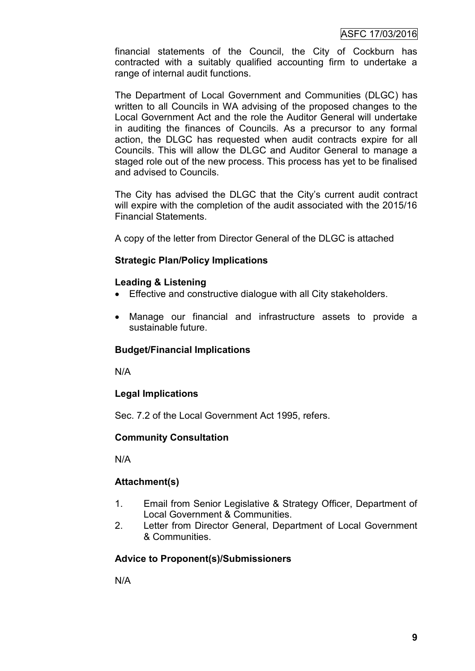financial statements of the Council, the City of Cockburn has contracted with a suitably qualified accounting firm to undertake a range of internal audit functions.

The Department of Local Government and Communities (DLGC) has written to all Councils in WA advising of the proposed changes to the Local Government Act and the role the Auditor General will undertake in auditing the finances of Councils. As a precursor to any formal action, the DLGC has requested when audit contracts expire for all Councils. This will allow the DLGC and Auditor General to manage a staged role out of the new process. This process has yet to be finalised and advised to Councils.

The City has advised the DLGC that the City's current audit contract will expire with the completion of the audit associated with the 2015/16 Financial Statements.

A copy of the letter from Director General of the DLGC is attached

# **Strategic Plan/Policy Implications**

# **Leading & Listening**

- Effective and constructive dialogue with all City stakeholders.
- Manage our financial and infrastructure assets to provide a sustainable future.

# **Budget/Financial Implications**

N/A

# **Legal Implications**

Sec. 7.2 of the Local Government Act 1995, refers.

# **Community Consultation**

N/A

# **Attachment(s)**

- 1. Email from Senior Legislative & Strategy Officer, Department of Local Government & Communities.
- 2. Letter from Director General, Department of Local Government & Communities.

# **Advice to Proponent(s)/Submissioners**

N/A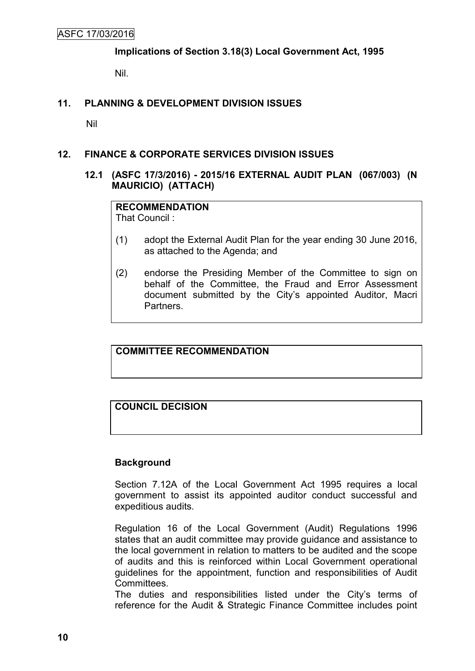**Implications of Section 3.18(3) Local Government Act, 1995**

Nil.

# **11. PLANNING & DEVELOPMENT DIVISION ISSUES**

Nil

# **12. FINANCE & CORPORATE SERVICES DIVISION ISSUES**

# **12.1 (ASFC 17/3/2016) - 2015/16 EXTERNAL AUDIT PLAN (067/003) (N MAURICIO) (ATTACH)**

# **RECOMMENDATION**

That Council :

- (1) adopt the External Audit Plan for the year ending 30 June 2016, as attached to the Agenda; and
- (2) endorse the Presiding Member of the Committee to sign on behalf of the Committee, the Fraud and Error Assessment document submitted by the City's appointed Auditor, Macri Partners.

**COMMITTEE RECOMMENDATION**

# **COUNCIL DECISION**

# **Background**

Section 7.12A of the Local Government Act 1995 requires a local government to assist its appointed auditor conduct successful and expeditious audits.

Regulation 16 of the Local Government (Audit) Regulations 1996 states that an audit committee may provide guidance and assistance to the local government in relation to matters to be audited and the scope of audits and this is reinforced within Local Government operational guidelines for the appointment, function and responsibilities of Audit Committees.

The duties and responsibilities listed under the City's terms of reference for the Audit & Strategic Finance Committee includes point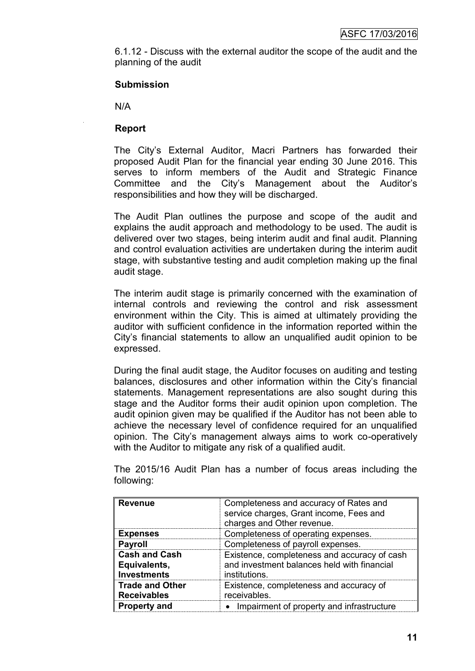6.1.12 - Discuss with the external auditor the scope of the audit and the planning of the audit

#### **Submission**

N/A

#### **Report**

The City's External Auditor, Macri Partners has forwarded their proposed Audit Plan for the financial year ending 30 June 2016. This serves to inform members of the Audit and Strategic Finance Committee and the City's Management about the Auditor's responsibilities and how they will be discharged.

The Audit Plan outlines the purpose and scope of the audit and explains the audit approach and methodology to be used. The audit is delivered over two stages, being interim audit and final audit. Planning and control evaluation activities are undertaken during the interim audit stage, with substantive testing and audit completion making up the final audit stage.

The interim audit stage is primarily concerned with the examination of internal controls and reviewing the control and risk assessment environment within the City. This is aimed at ultimately providing the auditor with sufficient confidence in the information reported within the City's financial statements to allow an unqualified audit opinion to be expressed.

During the final audit stage, the Auditor focuses on auditing and testing balances, disclosures and other information within the City's financial statements. Management representations are also sought during this stage and the Auditor forms their audit opinion upon completion. The audit opinion given may be qualified if the Auditor has not been able to achieve the necessary level of confidence required for an unqualified opinion. The City's management always aims to work co-operatively with the Auditor to mitigate any risk of a qualified audit.

| <b>Revenue</b>                                             | Completeness and accuracy of Rates and<br>service charges, Grant income, Fees and<br>charges and Other revenue. |
|------------------------------------------------------------|-----------------------------------------------------------------------------------------------------------------|
| <b>Expenses</b>                                            | Completeness of operating expenses.                                                                             |
| <b>Payroll</b>                                             | Completeness of payroll expenses.                                                                               |
| <b>Cash and Cash</b><br>Equivalents,<br><b>Investments</b> | Existence, completeness and accuracy of cash<br>and investment balances held with financial<br>institutions.    |
| <b>Trade and Other</b><br><b>Receivables</b>               | Existence, completeness and accuracy of<br>receivables.                                                         |
| <b>Property and</b>                                        | Impairment of property and infrastructure                                                                       |

The 2015/16 Audit Plan has a number of focus areas including the following: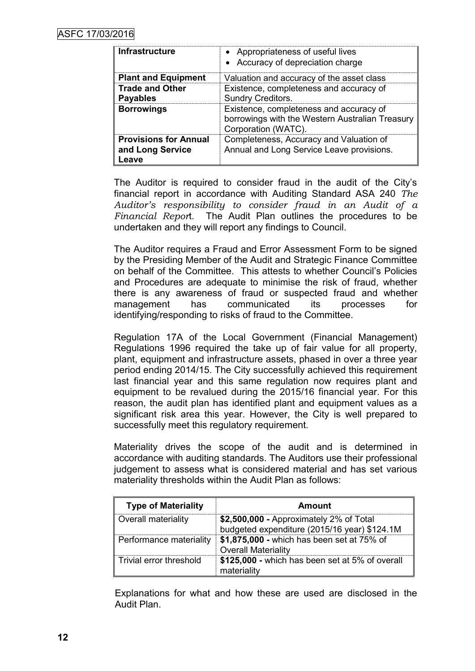| <b>Infrastructure</b>                                     | • Appropriateness of useful lives<br>• Accuracy of depreciation charge                                            |
|-----------------------------------------------------------|-------------------------------------------------------------------------------------------------------------------|
| <b>Plant and Equipment</b>                                | Valuation and accuracy of the asset class                                                                         |
| <b>Trade and Other</b><br><b>Payables</b>                 | Existence, completeness and accuracy of<br><b>Sundry Creditors.</b>                                               |
| <b>Borrowings</b>                                         | Existence, completeness and accuracy of<br>borrowings with the Western Australian Treasury<br>Corporation (WATC). |
| <b>Provisions for Annual</b><br>and Long Service<br>Leave | Completeness, Accuracy and Valuation of<br>Annual and Long Service Leave provisions.                              |

The Auditor is required to consider fraud in the audit of the City's financial report in accordance with Auditing Standard ASA 240 *The Auditor's responsibility to consider fraud in an Audit of a Financial Repor*t. The Audit Plan outlines the procedures to be undertaken and they will report any findings to Council.

The Auditor requires a Fraud and Error Assessment Form to be signed by the Presiding Member of the Audit and Strategic Finance Committee on behalf of the Committee. This attests to whether Council's Policies and Procedures are adequate to minimise the risk of fraud, whether there is any awareness of fraud or suspected fraud and whether management has communicated its processes for identifying/responding to risks of fraud to the Committee.

Regulation 17A of the Local Government (Financial Management) Regulations 1996 required the take up of fair value for all property, plant, equipment and infrastructure assets, phased in over a three year period ending 2014/15. The City successfully achieved this requirement last financial year and this same regulation now requires plant and equipment to be revalued during the 2015/16 financial year. For this reason, the audit plan has identified plant and equipment values as a significant risk area this year. However, the City is well prepared to successfully meet this regulatory requirement.

Materiality drives the scope of the audit and is determined in accordance with auditing standards. The Auditors use their professional judgement to assess what is considered material and has set various materiality thresholds within the Audit Plan as follows:

| <b>Type of Materiality</b> | Amount                                                                                  |
|----------------------------|-----------------------------------------------------------------------------------------|
| Overall materiality        | \$2,500,000 - Approximately 2% of Total<br>budgeted expenditure (2015/16 year) \$124.1M |
| Performance materiality    | \$1,875,000 - which has been set at 75% of<br><b>Overall Materiality</b>                |
| Trivial error threshold    | \$125,000 - which has been set at 5% of overall<br>materiality                          |

Explanations for what and how these are used are disclosed in the Audit Plan.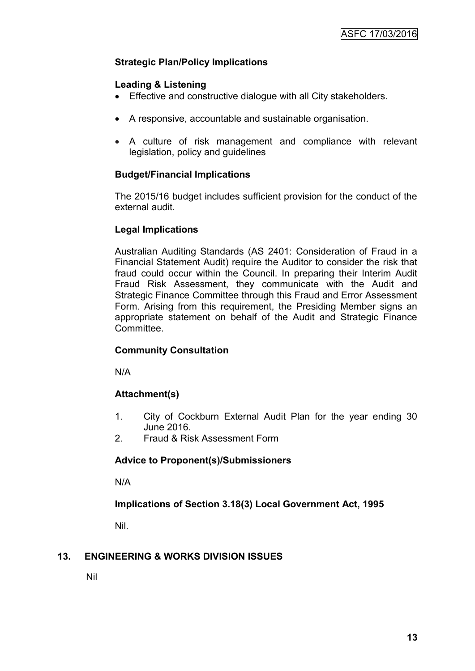# **Strategic Plan/Policy Implications**

# **Leading & Listening**

- Effective and constructive dialogue with all City stakeholders.
- A responsive, accountable and sustainable organisation.
- A culture of risk management and compliance with relevant legislation, policy and guidelines

# **Budget/Financial Implications**

The 2015/16 budget includes sufficient provision for the conduct of the external audit.

# **Legal Implications**

Australian Auditing Standards (AS 2401: Consideration of Fraud in a Financial Statement Audit) require the Auditor to consider the risk that fraud could occur within the Council. In preparing their Interim Audit Fraud Risk Assessment, they communicate with the Audit and Strategic Finance Committee through this Fraud and Error Assessment Form. Arising from this requirement, the Presiding Member signs an appropriate statement on behalf of the Audit and Strategic Finance Committee.

# **Community Consultation**

N/A

# **Attachment(s)**

- 1. City of Cockburn External Audit Plan for the year ending 30 June 2016.
- 2. Fraud & Risk Assessment Form

# **Advice to Proponent(s)/Submissioners**

N/A

# **Implications of Section 3.18(3) Local Government Act, 1995**

Nil.

# **13. ENGINEERING & WORKS DIVISION ISSUES**

Nil